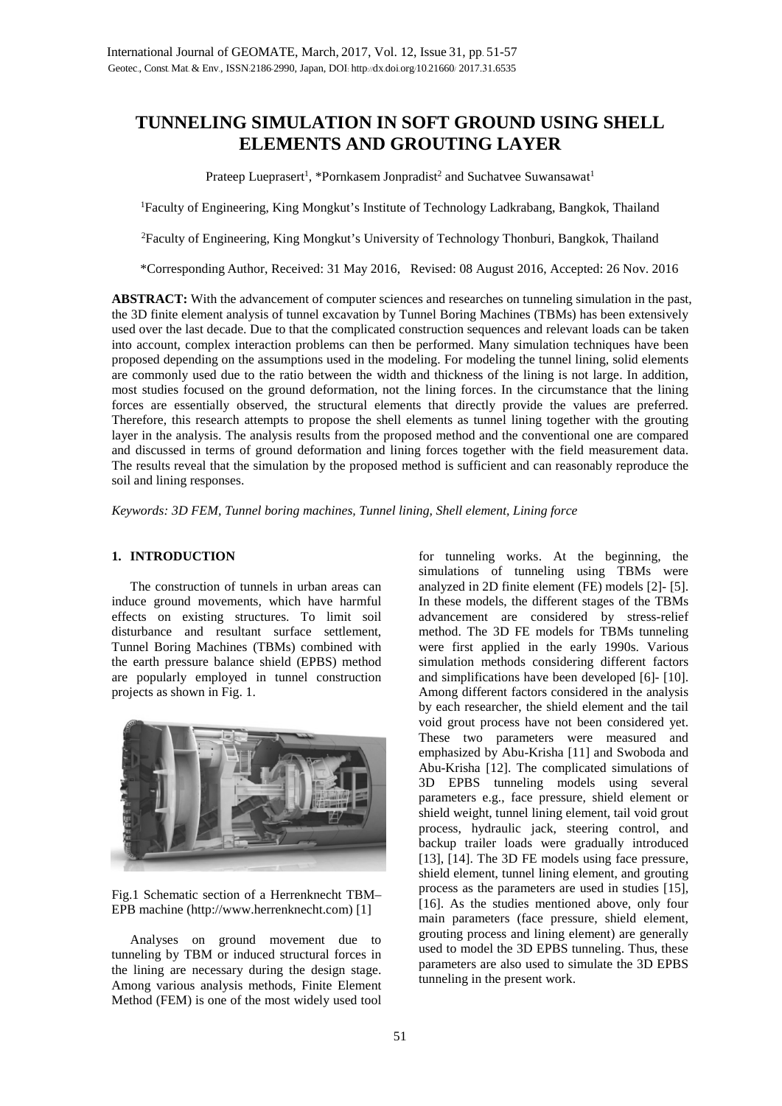# **TUNNELING SIMULATION IN SOFT GROUND USING SHELL ELEMENTS AND GROUTING LAYER**

Prateep Lueprasert<sup>1</sup>, \*Pornkasem Jonpradist<sup>2</sup> and Suchatvee Suwansawat<sup>1</sup>

<sup>1</sup>Faculty of Engineering, King Mongkut's Institute of Technology Ladkrabang, Bangkok, Thailand

2 Faculty of Engineering, King Mongkut's University of Technology Thonburi, Bangkok, Thailand

\*Corresponding Author, Received: 31 May 2016, Revised: 08 August 2016, Accepted: 26 Nov. 2016

**ABSTRACT:** With the advancement of computer sciences and researches on tunneling simulation in the past, the 3D finite element analysis of tunnel excavation by Tunnel Boring Machines (TBMs) has been extensively used over the last decade. Due to that the complicated construction sequences and relevant loads can be taken into account, complex interaction problems can then be performed. Many simulation techniques have been proposed depending on the assumptions used in the modeling. For modeling the tunnel lining, solid elements are commonly used due to the ratio between the width and thickness of the lining is not large. In addition, most studies focused on the ground deformation, not the lining forces. In the circumstance that the lining forces are essentially observed, the structural elements that directly provide the values are preferred. Therefore, this research attempts to propose the shell elements as tunnel lining together with the grouting layer in the analysis. The analysis results from the proposed method and the conventional one are compared and discussed in terms of ground deformation and lining forces together with the field measurement data. The results reveal that the simulation by the proposed method is sufficient and can reasonably reproduce the soil and lining responses.

*Keywords: 3D FEM, Tunnel boring machines, Tunnel lining, Shell element, Lining force*

# **1. INTRODUCTION**

The construction of tunnels in urban areas can induce ground movements, which have harmful effects on existing structures. To limit soil disturbance and resultant surface settlement, Tunnel Boring Machines (TBMs) combined with the earth pressure balance shield (EPBS) method are popularly employed in tunnel construction projects as shown in Fig. 1.



Fig.1 Schematic section of a Herrenknecht TBM– EPB machine (http://www.herrenknecht.com) [1]

Analyses on ground movement due to tunneling by TBM or induced structural forces in the lining are necessary during the design stage. Among various analysis methods, Finite Element Method (FEM) is one of the most widely used tool

for tunneling works. At the beginning, the simulations of tunneling using TBMs were analyzed in 2D finite element (FE) models [2]- [5]. In these models, the different stages of the TBMs advancement are considered by stress-relief method. The 3D FE models for TBMs tunneling were first applied in the early 1990s. Various simulation methods considering different factors and simplifications have been developed [6]- [10]. Among different factors considered in the analysis by each researcher, the shield element and the tail void grout process have not been considered yet. These two parameters were measured and emphasized by Abu-Krisha [11] and Swoboda and Abu-Krisha [12]. The complicated simulations of 3D EPBS tunneling models using several parameters e.g., face pressure, shield element or shield weight, tunnel lining element, tail void grout process, hydraulic jack, steering control, and backup trailer loads were gradually introduced [13], [14]. The 3D FE models using face pressure, shield element, tunnel lining element, and grouting process as the parameters are used in studies [15], [16]. As the studies mentioned above, only four main parameters (face pressure, shield element, grouting process and lining element) are generally used to model the 3D EPBS tunneling. Thus, these parameters are also used to simulate the 3D EPBS tunneling in the present work.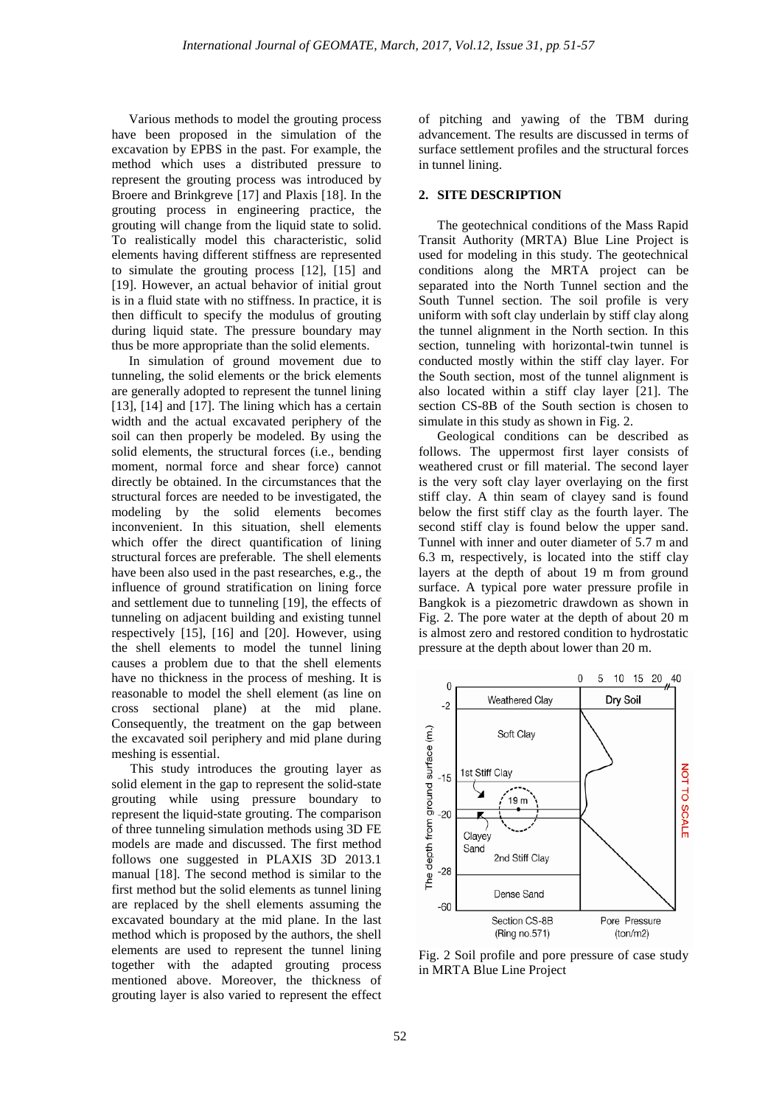Various methods to model the grouting process have been proposed in the simulation of the excavation by EPBS in the past. For example, the method which uses a distributed pressure to represent the grouting process was introduced by Broere and Brinkgreve [17] and Plaxis [18]. In the grouting process in engineering practice, the grouting will change from the liquid state to solid. To realistically model this characteristic, solid elements having different stiffness are represented to simulate the grouting process [12], [15] and [19]. However, an actual behavior of initial grout is in a fluid state with no stiffness. In practice, it is then difficult to specify the modulus of grouting during liquid state. The pressure boundary may thus be more appropriate than the solid elements.

In simulation of ground movement due to tunneling, the solid elements or the brick elements are generally adopted to represent the tunnel lining [13], [14] and [17]. The lining which has a certain width and the actual excavated periphery of the soil can then properly be modeled. By using the solid elements, the structural forces (i.e., bending moment, normal force and shear force) cannot directly be obtained. In the circumstances that the structural forces are needed to be investigated, the modeling by the solid elements becomes inconvenient. In this situation, shell elements which offer the direct quantification of lining structural forces are preferable. The shell elements have been also used in the past researches, e.g., the influence of ground stratification on lining force and settlement due to tunneling [19], the effects of tunneling on adjacent building and existing tunnel respectively [15], [16] and [20]. However, using the shell elements to model the tunnel lining causes a problem due to that the shell elements have no thickness in the process of meshing. It is reasonable to model the shell element (as line on cross sectional plane) at the mid plane. Consequently, the treatment on the gap between the excavated soil periphery and mid plane during meshing is essential.

This study introduces the grouting layer as solid element in the gap to represent the solid-state grouting while using pressure boundary to represent the liquid-state grouting. The comparison of three tunneling simulation methods using 3D FE models are made and discussed. The first method follows one suggested in PLAXIS 3D 2013.1 manual [18]. The second method is similar to the first method but the solid elements as tunnel lining are replaced by the shell elements assuming the excavated boundary at the mid plane. In the last method which is proposed by the authors, the shell elements are used to represent the tunnel lining together with the adapted grouting process mentioned above. Moreover, the thickness of grouting layer is also varied to represent the effect of pitching and yawing of the TBM during advancement. The results are discussed in terms of surface settlement profiles and the structural forces in tunnel lining.

### **2. SITE DESCRIPTION**

The geotechnical conditions of the Mass Rapid Transit Authority (MRTA) Blue Line Project is used for modeling in this study. The geotechnical conditions along the MRTA project can be separated into the North Tunnel section and the South Tunnel section. The soil profile is very uniform with soft clay underlain by stiff clay along the tunnel alignment in the North section. In this section, tunneling with horizontal-twin tunnel is conducted mostly within the stiff clay layer. For the South section, most of the tunnel alignment is also located within a stiff clay layer [21]. The section CS-8B of the South section is chosen to simulate in this study as shown in Fig. 2.

Geological conditions can be described as follows. The uppermost first layer consists of weathered crust or fill material. The second layer is the very soft clay layer overlaying on the first stiff clay. A thin seam of clayey sand is found below the first stiff clay as the fourth layer. The second stiff clay is found below the upper sand. Tunnel with inner and outer diameter of 5.7 m and 6.3 m, respectively, is located into the stiff clay layers at the depth of about 19 m from ground surface. A typical pore water pressure profile in Bangkok is a piezometric drawdown as shown in Fig. 2. The pore water at the depth of about 20 m is almost zero and restored condition to hydrostatic pressure at the depth about lower than 20 m.



Fig. 2 Soil profile and pore pressure of case study in MRTA Blue Line Project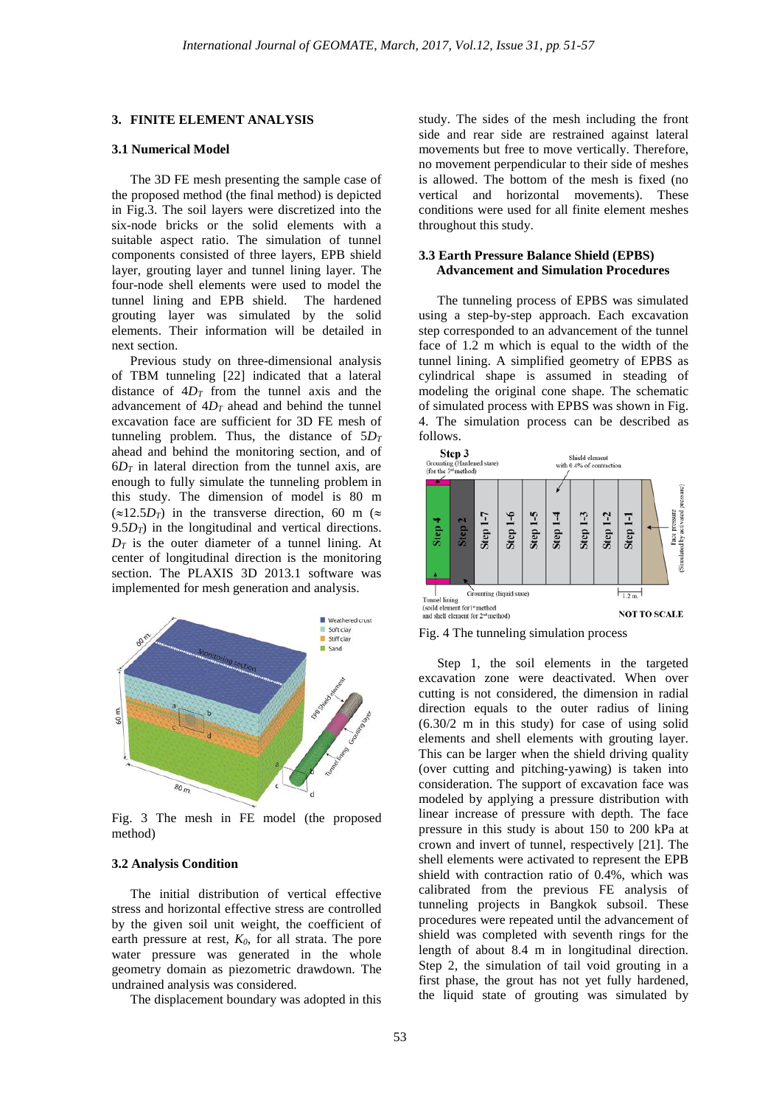### **3. FINITE ELEMENT ANALYSIS**

### **3.1 Numerical Model**

The 3D FE mesh presenting the sample case of the proposed method (the final method) is depicted in Fig.3. The soil layers were discretized into the six-node bricks or the solid elements with a suitable aspect ratio. The simulation of tunnel components consisted of three layers, EPB shield layer, grouting layer and tunnel lining layer. The four-node shell elements were used to model the tunnel lining and EPB shield. The hardened grouting layer was simulated by the solid elements. Their information will be detailed in next section.

Previous study on three-dimensional analysis of TBM tunneling [22] indicated that a lateral distance of  $4D_T$  from the tunnel axis and the advancement of  $4D<sub>T</sub>$  ahead and behind the tunnel excavation face are sufficient for 3D FE mesh of tunneling problem. Thus, the distance of  $5D_T$ ahead and behind the monitoring section, and of  $6D_T$  in lateral direction from the tunnel axis, are enough to fully simulate the tunneling problem in this study. The dimension of model is 80 m  $(\approx 12.5D_T)$  in the transverse direction, 60 m ( $\approx$  $9.5D_T$ ) in the longitudinal and vertical directions.  $D_T$  is the outer diameter of a tunnel lining. At center of longitudinal direction is the monitoring section. The PLAXIS 3D 2013.1 software was implemented for mesh generation and analysis.



Fig. 3 The mesh in FE model (the proposed method)

#### **3.2 Analysis Condition**

The initial distribution of vertical effective stress and horizontal effective stress are controlled by the given soil unit weight, the coefficient of earth pressure at rest, *K0*, for all strata. The pore water pressure was generated in the whole geometry domain as piezometric drawdown. The undrained analysis was considered.

The displacement boundary was adopted in this

study. The sides of the mesh including the front side and rear side are restrained against lateral movements but free to move vertically. Therefore, no movement perpendicular to their side of meshes is allowed. The bottom of the mesh is fixed (no vertical and horizontal movements). These conditions were used for all finite element meshes throughout this study.

### **3.3 Earth Pressure Balance Shield (EPBS) Advancement and Simulation Procedures**

The tunneling process of EPBS was simulated using a step-by-step approach. Each excavation step corresponded to an advancement of the tunnel face of 1.2 m which is equal to the width of the tunnel lining. A simplified geometry of EPBS as cylindrical shape is assumed in steading of modeling the original cone shape. The schematic of simulated process with EPBS was shown in Fig. 4. The simulation process can be described as follows.





Step 1, the soil elements in the targeted excavation zone were deactivated. When over cutting is not considered, the dimension in radial direction equals to the outer radius of lining (6.30/2 m in this study) for case of using solid elements and shell elements with grouting layer. This can be larger when the shield driving quality (over cutting and pitching-yawing) is taken into consideration. The support of excavation face was modeled by applying a pressure distribution with linear increase of pressure with depth. The face pressure in this study is about 150 to 200 kPa at crown and invert of tunnel, respectively [21]. The shell elements were activated to represent the EPB shield with contraction ratio of 0.4%, which was calibrated from the previous FE analysis of tunneling projects in Bangkok subsoil. These procedures were repeated until the advancement of shield was completed with seventh rings for the length of about 8.4 m in longitudinal direction. Step 2, the simulation of tail void grouting in a first phase, the grout has not yet fully hardened, the liquid state of grouting was simulated by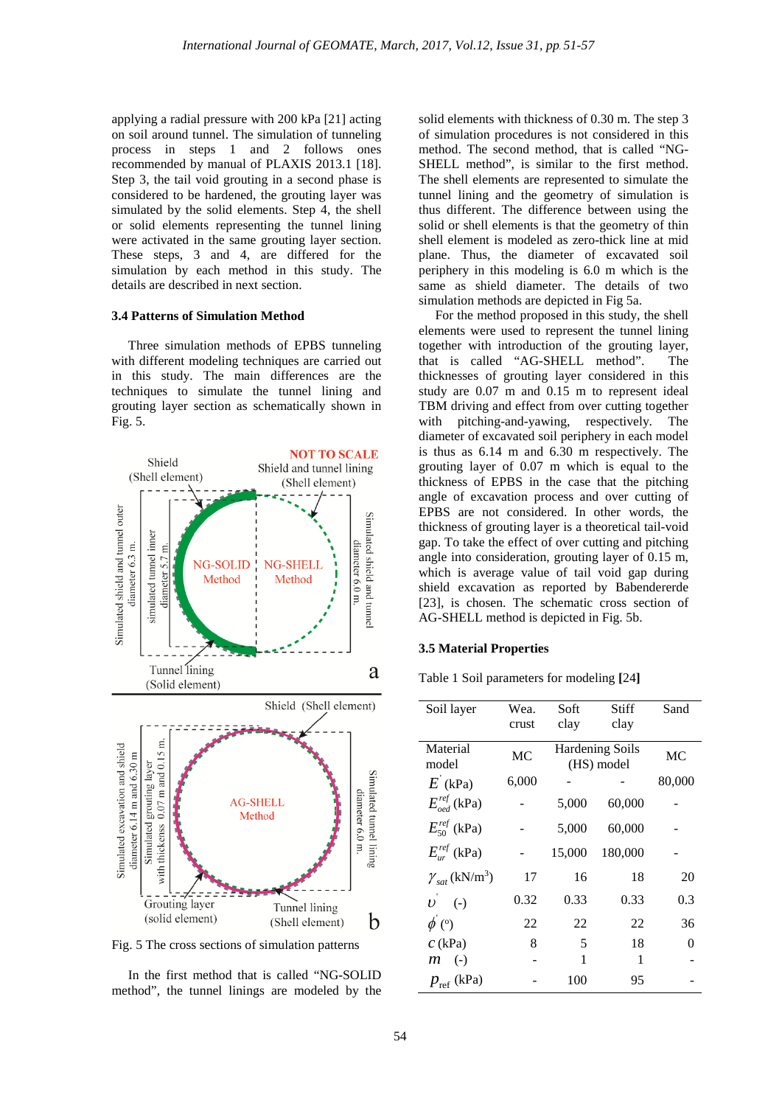applying a radial pressure with 200 kPa [21] acting on soil around tunnel. The simulation of tunneling process in steps 1 and 2 follows ones recommended by manual of PLAXIS 2013.1 [18]. Step 3, the tail void grouting in a second phase is considered to be hardened, the grouting layer was simulated by the solid elements. Step 4, the shell or solid elements representing the tunnel lining were activated in the same grouting layer section. These steps, 3 and 4, are differed for the simulation by each method in this study. The details are described in next section.

# **3.4 Patterns of Simulation Method**

Three simulation methods of EPBS tunneling with different modeling techniques are carried out in this study. The main differences are the techniques to simulate the tunnel lining and grouting layer section as schematically shown in Fig. 5.



Fig. 5 The cross sections of simulation patterns

In the first method that is called "NG-SOLID method", the tunnel linings are modeled by the

solid elements with thickness of 0.30 m. The step 3 of simulation procedures is not considered in this method. The second method, that is called "NG-SHELL method", is similar to the first method. The shell elements are represented to simulate the tunnel lining and the geometry of simulation is thus different. The difference between using the solid or shell elements is that the geometry of thin shell element is modeled as zero-thick line at mid plane. Thus, the diameter of excavated soil periphery in this modeling is 6.0 m which is the same as shield diameter. The details of two simulation methods are depicted in Fig 5a.

For the method proposed in this study, the shell elements were used to represent the tunnel lining together with introduction of the grouting layer, that is called "AG-SHELL method". The thicknesses of grouting layer considered in this study are 0.07 m and 0.15 m to represent ideal TBM driving and effect from over cutting together with pitching-and-yawing, respectively. The diameter of excavated soil periphery in each model is thus as 6.14 m and 6.30 m respectively. The grouting layer of 0.07 m which is equal to the thickness of EPBS in the case that the pitching angle of excavation process and over cutting of EPBS are not considered. In other words, the thickness of grouting layer is a theoretical tail-void gap. To take the effect of over cutting and pitching angle into consideration, grouting layer of 0.15 m, which is average value of tail void gap during shield excavation as reported by Babendererde [23], is chosen. The schematic cross section of AG-SHELL method is depicted in Fig. 5b.

#### **3.5 Material Properties**

Table 1 Soil parameters for modeling **[**24**]**

| Soil layer                          | Wea.  | Soft                                 | Stiff   | Sand   |
|-------------------------------------|-------|--------------------------------------|---------|--------|
|                                     | crust | clay                                 | clay    |        |
| Material<br>model                   | MC    | <b>Hardening Soils</b><br>(HS) model |         | МC     |
| $E$ <sup>'</sup> (kPa)              | 6,000 |                                      |         | 80,000 |
| $E_{\alpha d}^{ref}$ (kPa)          |       | 5,000                                | 60,000  |        |
| $E_{50}^{ref}$ (kPa)                |       | 5,000                                | 60,000  |        |
| $E_{\mu\nu}^{ref}$ (kPa)            |       | 15,000                               | 180,000 |        |
| $\gamma_{sat}$ (kN/m <sup>3</sup> ) | 17    | 16                                   | 18      | 20     |
| $U$ (-)                             | 0.32  | 0.33                                 | 0.33    | 0.3    |
| $\phi$ <sup>(o</sup> )              | 22    | 22                                   | 22      | 36     |
| $c$ (kPa)                           | 8     | 5                                    | 18      | 0      |
| $(-)$<br>т                          |       | 1                                    | 1       |        |
| $p_{ref}$ (kPa)                     |       | 100                                  | 95      |        |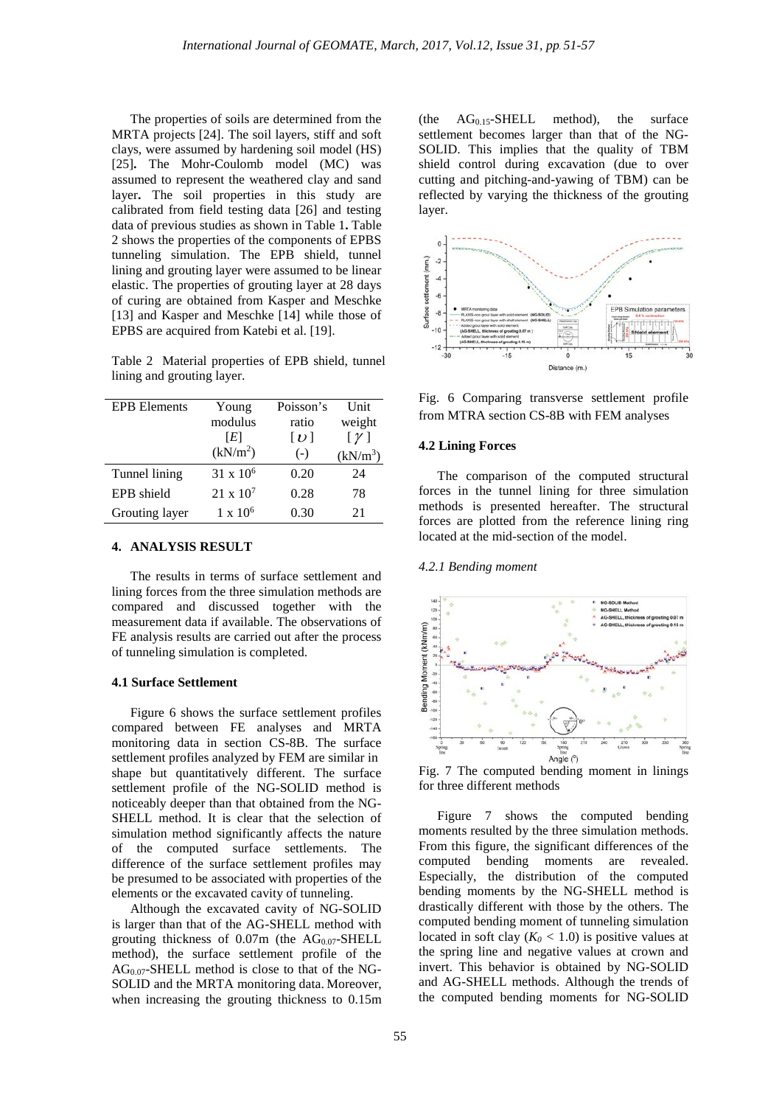The properties of soils are determined from the MRTA projects [24]. The soil layers, stiff and soft clays, were assumed by hardening soil model (HS) [25]**.** The Mohr**-**Coulomb model (MC) was assumed to represent the weathered clay and sand layer**.** The soil properties in this study are calibrated from field testing data [26] and testing data of previous studies as shown in Table 1**.** Table 2 shows the properties of the components of EPBS tunneling simulation. The EPB shield, tunnel lining and grouting layer were assumed to be linear elastic. The properties of grouting layer at 28 days of curing are obtained from Kasper and Meschke [13] and Kasper and Meschke [14] while those of EPBS are acquired from Katebi et al. [19].

Table 2 Material properties of EPB shield, tunnel lining and grouting layer.

| <b>EPB Elements</b> | Young                | Poisson's         | <b>Unit</b> |
|---------------------|----------------------|-------------------|-------------|
|                     | modulus              | ratio             | weight      |
|                     | [E]                  | $\lceil v \rceil$ | $[\gamma]$  |
|                     | (kN/m <sup>2</sup> ) | $(-)$             | $(kN/m^3)$  |
| Tunnel lining       | $31 \times 10^6$     | 0.20              | 24          |
| EPB shield          | $21 \times 10^7$     | 0.28              | 78          |
| Grouting layer      | $1 \times 10^6$      | 0.30              | 21          |

#### **4. ANALYSIS RESULT**

The results in terms of surface settlement and lining forces from the three simulation methods are compared and discussed together with the measurement data if available. The observations of FE analysis results are carried out after the process of tunneling simulation is completed.

#### **4.1 Surface Settlement**

Figure 6 shows the surface settlement profiles compared between FE analyses and MRTA monitoring data in section CS-8B. The surface settlement profiles analyzed by FEM are similar in shape but quantitatively different. The surface settlement profile of the NG-SOLID method is noticeably deeper than that obtained from the NG-SHELL method. It is clear that the selection of simulation method significantly affects the nature of the computed surface settlements. The difference of the surface settlement profiles may be presumed to be associated with properties of the elements or the excavated cavity of tunneling.

Although the excavated cavity of NG-SOLID is larger than that of the AG-SHELL method with grouting thickness of  $0.07m$  (the AG<sub>0.07</sub>-SHELL method), the surface settlement profile of the  $AG<sub>0.07</sub>$ -SHELL method is close to that of the NG-SOLID and the MRTA monitoring data. Moreover, when increasing the grouting thickness to 0.15m

(the  $AG<sub>0.15</sub>-SHEL$  method), the surface settlement becomes larger than that of the NG-SOLID. This implies that the quality of TBM shield control during excavation (due to over cutting and pitching-and-yawing of TBM) can be reflected by varying the thickness of the grouting layer.



Fig. 6 Comparing transverse settlement profile from MTRA section CS-8B with FEM analyses

#### **4.2 Lining Forces**

The comparison of the computed structural forces in the tunnel lining for three simulation methods is presented hereafter. The structural forces are plotted from the reference lining ring located at the mid-section of the model.

### *4.2.1 Bending moment*



Fig. 7 The computed bending moment in linings for three different methods

Figure 7 shows the computed bending moments resulted by the three simulation methods. From this figure, the significant differences of the computed bending moments are revealed. Especially, the distribution of the computed bending moments by the NG-SHELL method is drastically different with those by the others. The computed bending moment of tunneling simulation located in soft clay  $(K_0 < 1.0)$  is positive values at the spring line and negative values at crown and invert. This behavior is obtained by NG-SOLID and AG-SHELL methods. Although the trends of the computed bending moments for NG-SOLID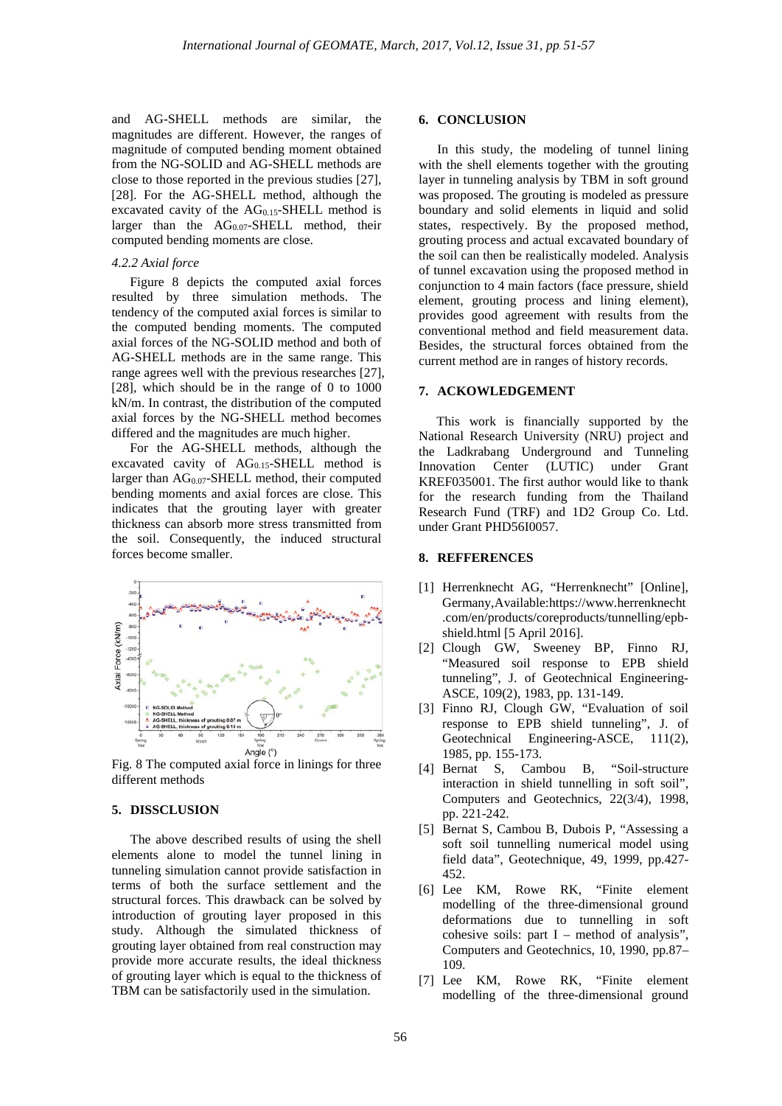and AG-SHELL methods are similar, the magnitudes are different. However, the ranges of magnitude of computed bending moment obtained from the NG-SOLID and AG-SHELL methods are close to those reported in the previous studies [27], [28]. For the AG-SHELL method, although the excavated cavity of the  $AG<sub>0.15</sub>$ -SHELL method is larger than the  $AG<sub>0.07</sub>$ -SHELL method, their computed bending moments are close.

# *4.2.2 Axial force*

Figure 8 depicts the computed axial forces resulted by three simulation methods. The tendency of the computed axial forces is similar to the computed bending moments. The computed axial forces of the NG-SOLID method and both of AG-SHELL methods are in the same range. This range agrees well with the previous researches [27], [28], which should be in the range of 0 to 1000 kN/m. In contrast, the distribution of the computed axial forces by the NG-SHELL method becomes differed and the magnitudes are much higher.

For the AG-SHELL methods, although the excavated cavity of AG<sub>0.15</sub>-SHELL method is larger than  $AG<sub>0.07</sub>$ -SHELL method, their computed bending moments and axial forces are close. This indicates that the grouting layer with greater thickness can absorb more stress transmitted from the soil. Consequently, the induced structural forces become smaller.



Fig*.* 8 The computed axial force in linings for three different methods

# **5. DISSCLUSION**

The above described results of using the shell elements alone to model the tunnel lining in tunneling simulation cannot provide satisfaction in terms of both the surface settlement and the structural forces. This drawback can be solved by introduction of grouting layer proposed in this study. Although the simulated thickness of grouting layer obtained from real construction may provide more accurate results, the ideal thickness of grouting layer which is equal to the thickness of TBM can be satisfactorily used in the simulation.

#### **6. CONCLUSION**

In this study, the modeling of tunnel lining with the shell elements together with the grouting layer in tunneling analysis by TBM in soft ground was proposed. The grouting is modeled as pressure boundary and solid elements in liquid and solid states, respectively. By the proposed method, grouting process and actual excavated boundary of the soil can then be realistically modeled. Analysis of tunnel excavation using the proposed method in conjunction to 4 main factors (face pressure, shield element, grouting process and lining element), provides good agreement with results from the conventional method and field measurement data. Besides, the structural forces obtained from the current method are in ranges of history records.

### **7. ACKOWLEDGEMENT**

This work is financially supported by the National Research University (NRU) project and the Ladkrabang Underground and Tunneling Innovation Center (LUTIC) under Grant KREF035001. The first author would like to thank for the research funding from the Thailand Research Fund (TRF) and 1D2 Group Co. Ltd. under Grant PHD56I0057.

# **8. REFFERENCES**

- [1] Herrenknecht AG, "Herrenknecht" [Online], Germany,Available:https://www.herrenknecht .com/en/products/coreproducts/tunnelling/epbshield.html [5 April 2016].
- [2] Clough GW, Sweeney BP, Finno RJ, "Measured soil response to EPB shield tunneling", J. of Geotechnical Engineering-ASCE, 109(2), 1983, pp. 131-149.
- [3] Finno RJ, Clough GW, "Evaluation of soil response to EPB shield tunneling", J. of Geotechnical Engineering-ASCE, 111(2), 1985, pp. 155-173.
- [4] Bernat S, Cambou B, "Soil-structure interaction in shield tunnelling in soft soil", Computers and Geotechnics, 22(3/4), 1998, pp. 221-242.
- [5] Bernat S, Cambou B, Dubois P, "Assessing a soft soil tunnelling numerical model using field data", Geotechnique, 49, 1999, pp.427- 452.
- [6] Lee KM, Rowe RK, "Finite element modelling of the three-dimensional ground deformations due to tunnelling in soft cohesive soils: part  $I$  – method of analysis", Computers and Geotechnics, 10, 1990, pp.87– 109.
- [7] Lee KM, Rowe RK, "Finite element modelling of the three-dimensional ground